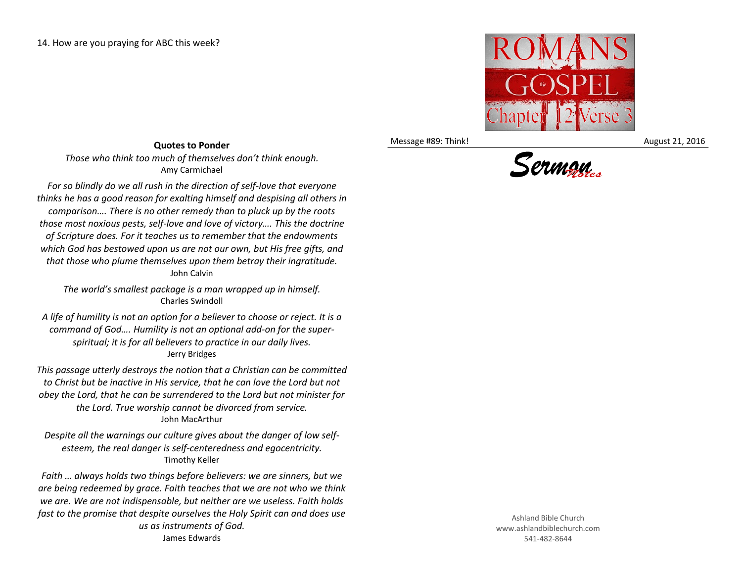

Message #89: Think! August 21, 2016



## **Quotes to Ponder**

*Those who think too much of themselves don't think enough.* Amy Carmichael

*For so blindly do we all rush in the direction of self-love that everyone thinks he has a good reason for exalting himself and despising all others in comparison…. There is no other remedy than to pluck up by the roots those most noxious pests, self-love and love of victory…. This the doctrine of Scripture does. For it teaches us to remember that the endowments which God has bestowed upon us are not our own, but His free gifts, and that those who plume themselves upon them betray their ingratitude.* John Calvin

*The world's smallest package is a man wrapped up in himself.* Charles Swindoll

*A life of humility is not an option for a believer to choose or reject. It is a command of God…. Humility is not an optional add-on for the superspiritual; it is for all believers to practice in our daily lives.* Jerry Bridges

*This passage utterly destroys the notion that a Christian can be committed to Christ but be inactive in His service, that he can love the Lord but not obey the Lord, that he can be surrendered to the Lord but not minister for the Lord. True worship cannot be divorced from service.* John MacArthur

*Despite all the warnings our culture gives about the danger of low selfesteem, the real danger is self-centeredness and egocentricity.* Timothy Keller

*Faith … always holds two things before believers: we are sinners, but we are being redeemed by grace. Faith teaches that we are not who we think we are. We are not indispensable, but neither are we useless. Faith holds fast to the promise that despite ourselves the Holy Spirit can and does use us as instruments of God.* James Edwards

Ashland Bible Church www.ashlandbiblechurch.com 541-482-8644